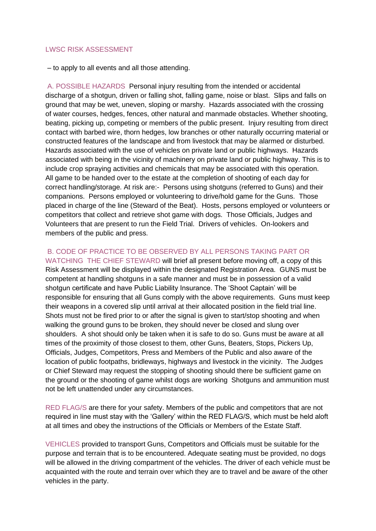## LWSC RISK ASSESSMENT

– to apply to all events and all those attending.

A. POSSIBLE HAZARDS Personal injury resulting from the intended or accidental discharge of a shotgun, driven or falling shot, falling game, noise or blast. Slips and falls on ground that may be wet, uneven, sloping or marshy. Hazards associated with the crossing of water courses, hedges, fences, other natural and manmade obstacles. Whether shooting, beating, picking up, competing or members of the public present. Injury resulting from direct contact with barbed wire, thorn hedges, low branches or other naturally occurring material or constructed features of the landscape and from livestock that may be alarmed or disturbed. Hazards associated with the use of vehicles on private land or public highways. Hazards associated with being in the vicinity of machinery on private land or public highway. This is to include crop spraying activities and chemicals that may be associated with this operation. All game to be handed over to the estate at the completion of shooting of each day for correct handling/storage. At risk are:- Persons using shotguns (referred to Guns) and their companions. Persons employed or volunteering to drive/hold game for the Guns. Those placed in charge of the line (Steward of the Beat). Hosts, persons employed or volunteers or competitors that collect and retrieve shot game with dogs. Those Officials, Judges and Volunteers that are present to run the Field Trial. Drivers of vehicles. On-lookers and members of the public and press.

## B. CODE OF PRACTICE TO BE OBSERVED BY ALL PERSONS TAKING PART OR

WATCHING THE CHIEF STEWARD will brief all present before moving off, a copy of this Risk Assessment will be displayed within the designated Registration Area. GUNS must be competent at handling shotguns in a safe manner and must be in possession of a valid shotgun certificate and have Public Liability Insurance. The 'Shoot Captain' will be responsible for ensuring that all Guns comply with the above requirements. Guns must keep their weapons in a covered slip until arrival at their allocated position in the field trial line. Shots must not be fired prior to or after the signal is given to start/stop shooting and when walking the ground guns to be broken, they should never be closed and slung over shoulders. A shot should only be taken when it is safe to do so. Guns must be aware at all times of the proximity of those closest to them, other Guns, Beaters, Stops, Pickers Up, Officials, Judges, Competitors, Press and Members of the Public and also aware of the location of public footpaths, bridleways, highways and livestock in the vicinity. The Judges or Chief Steward may request the stopping of shooting should there be sufficient game on the ground or the shooting of game whilst dogs are working Shotguns and ammunition must not be left unattended under any circumstances.

RED FLAG/S are there for your safety. Members of the public and competitors that are not required in line must stay with the 'Gallery' within the RED FLAG/S, which must be held aloft at all times and obey the instructions of the Officials or Members of the Estate Staff.

VEHICLES provided to transport Guns, Competitors and Officials must be suitable for the purpose and terrain that is to be encountered. Adequate seating must be provided, no dogs will be allowed in the driving compartment of the vehicles. The driver of each vehicle must be acquainted with the route and terrain over which they are to travel and be aware of the other vehicles in the party.